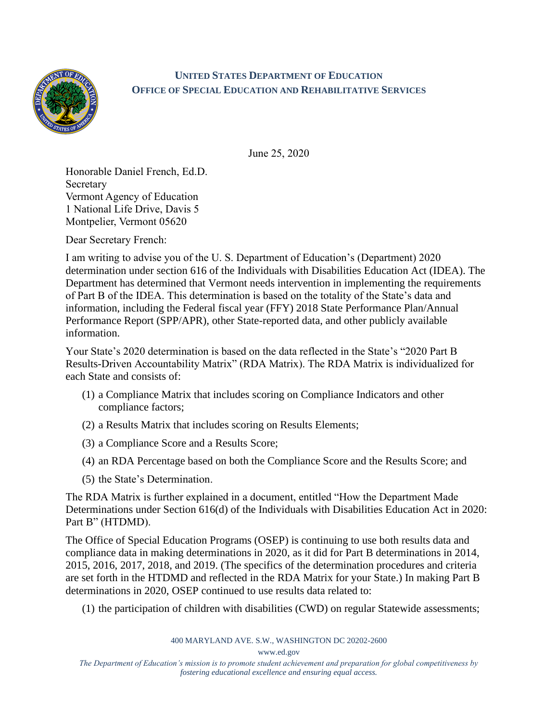

## **UNITED STATES DEPARTMENT OF EDUCATION OFFICE OF SPECIAL EDUCATION AND REHABILITATIVE SERVICES**

June 25, 2020

Honorable Daniel French, Ed.D. Secretary Vermont Agency of Education 1 National Life Drive, Davis 5 Montpelier, Vermont 05620

Dear Secretary French:

I am writing to advise you of the U. S. Department of Education's (Department) 2020 determination under section 616 of the Individuals with Disabilities Education Act (IDEA). The Department has determined that Vermont needs intervention in implementing the requirements of Part B of the IDEA. This determination is based on the totality of the State's data and information, including the Federal fiscal year (FFY) 2018 State Performance Plan/Annual Performance Report (SPP/APR), other State-reported data, and other publicly available information.

Your State's 2020 determination is based on the data reflected in the State's "2020 Part B Results-Driven Accountability Matrix" (RDA Matrix). The RDA Matrix is individualized for each State and consists of:

- (1) a Compliance Matrix that includes scoring on Compliance Indicators and other compliance factors;
- (2) a Results Matrix that includes scoring on Results Elements;
- (3) a Compliance Score and a Results Score;
- (4) an RDA Percentage based on both the Compliance Score and the Results Score; and
- (5) the State's Determination.

The RDA Matrix is further explained in a document, entitled "How the Department Made Determinations under Section 616(d) of the Individuals with Disabilities Education Act in 2020: Part B" (HTDMD).

The Office of Special Education Programs (OSEP) is continuing to use both results data and compliance data in making determinations in 2020, as it did for Part B determinations in 2014, 2015, 2016, 2017, 2018, and 2019. (The specifics of the determination procedures and criteria are set forth in the HTDMD and reflected in the RDA Matrix for your State.) In making Part B determinations in 2020, OSEP continued to use results data related to:

(1) the participation of children with disabilities (CWD) on regular Statewide assessments;

400 MARYLAND AVE. S.W., WASHINGTON DC 20202-2600

www.ed.gov

*The Department of Education's mission is to promote student achievement and preparation for global competitiveness by fostering educational excellence and ensuring equal access.*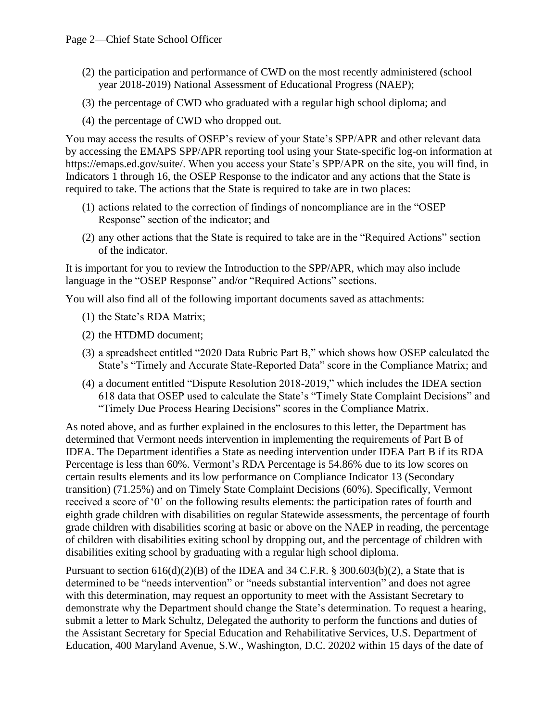- (2) the participation and performance of CWD on the most recently administered (school year 2018-2019) National Assessment of Educational Progress (NAEP);
- (3) the percentage of CWD who graduated with a regular high school diploma; and
- (4) the percentage of CWD who dropped out.

You may access the results of OSEP's review of your State's SPP/APR and other relevant data by accessing the EMAPS SPP/APR reporting tool using your State-specific log-on information at https://emaps.ed.gov/suite/. When you access your State's SPP/APR on the site, you will find, in Indicators 1 through 16, the OSEP Response to the indicator and any actions that the State is required to take. The actions that the State is required to take are in two places:

- (1) actions related to the correction of findings of noncompliance are in the "OSEP Response" section of the indicator; and
- (2) any other actions that the State is required to take are in the "Required Actions" section of the indicator.

It is important for you to review the Introduction to the SPP/APR, which may also include language in the "OSEP Response" and/or "Required Actions" sections.

You will also find all of the following important documents saved as attachments:

- (1) the State's RDA Matrix;
- (2) the HTDMD document;
- (3) a spreadsheet entitled "2020 Data Rubric Part B," which shows how OSEP calculated the State's "Timely and Accurate State-Reported Data" score in the Compliance Matrix; and
- (4) a document entitled "Dispute Resolution 2018-2019," which includes the IDEA section 618 data that OSEP used to calculate the State's "Timely State Complaint Decisions" and "Timely Due Process Hearing Decisions" scores in the Compliance Matrix.

As noted above, and as further explained in the enclosures to this letter, the Department has determined that Vermont needs intervention in implementing the requirements of Part B of IDEA. The Department identifies a State as needing intervention under IDEA Part B if its RDA Percentage is less than 60%. Vermont's RDA Percentage is 54.86% due to its low scores on certain results elements and its low performance on Compliance Indicator 13 (Secondary transition) (71.25%) and on Timely State Complaint Decisions (60%). Specifically, Vermont received a score of '0' on the following results elements: the participation rates of fourth and eighth grade children with disabilities on regular Statewide assessments, the percentage of fourth grade children with disabilities scoring at basic or above on the NAEP in reading, the percentage of children with disabilities exiting school by dropping out, and the percentage of children with disabilities exiting school by graduating with a regular high school diploma.

Pursuant to section  $616(d)(2)(B)$  of the IDEA and 34 C.F.R. § 300.603(b)(2), a State that is determined to be "needs intervention" or "needs substantial intervention" and does not agree with this determination, may request an opportunity to meet with the Assistant Secretary to demonstrate why the Department should change the State's determination. To request a hearing, submit a letter to Mark Schultz, Delegated the authority to perform the functions and duties of the Assistant Secretary for Special Education and Rehabilitative Services, U.S. Department of Education, 400 Maryland Avenue, S.W., Washington, D.C. 20202 within 15 days of the date of